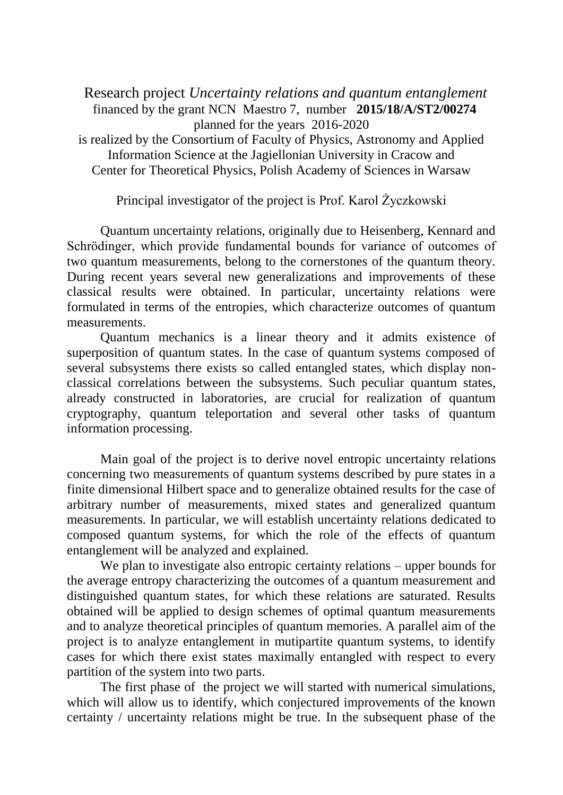Research project *Uncertainty relations and quantum entanglement*  financed by the grant NCN Maestro 7, number **2015/18/A/ST2/00274** planned for the years 2016-2020 is realized by the Consortium of Faculty of Physics, Astronomy and Applied Information Science at the Jagiellonian University in Cracow and Center for Theoretical Physics, Polish Academy of Sciences in Warsaw

Principal investigator of the project is Prof. Karol Życzkowski

Quantum uncertainty relations, originally due to Heisenberg, Kennard and Schrödinger, which provide fundamental bounds for variance of outcomes of two quantum measurements, belong to the cornerstones of the quantum theory. During recent years several new generalizations and improvements of these classical results were obtained. In particular, uncertainty relations were formulated in terms of the entropies, which characterize outcomes of quantum measurements.

Quantum mechanics is a linear theory and it admits existence of superposition of quantum states. In the case of quantum systems composed of several subsystems there exists so called entangled states, which display nonclassical correlations between the subsystems. Such peculiar quantum states, already constructed in laboratories, are crucial for realization of quantum cryptography, quantum teleportation and several other tasks of quantum information processing.

Main goal of the project is to derive novel entropic uncertainty relations concerning two measurements of quantum systems described by pure states in a finite dimensional Hilbert space and to generalize obtained results for the case of arbitrary number of measurements, mixed states and generalized quantum measurements. In particular, we will establish uncertainty relations dedicated to composed quantum systems, for which the role of the effects of quantum entanglement will be analyzed and explained.

We plan to investigate also entropic certainty relations – upper bounds for the average entropy characterizing the outcomes of a quantum measurement and distinguished quantum states, for which these relations are saturated. Results obtained will be applied to design schemes of optimal quantum measurements and to analyze theoretical principles of quantum memories. A parallel aim of the project is to analyze entanglement in mutipartite quantum systems, to identify cases for which there exist states maximally entangled with respect to every partition of the system into two parts.

The first phase of the project we will started with numerical simulations, which will allow us to identify, which conjectured improvements of the known certainty / uncertainty relations might be true. In the subsequent phase of the